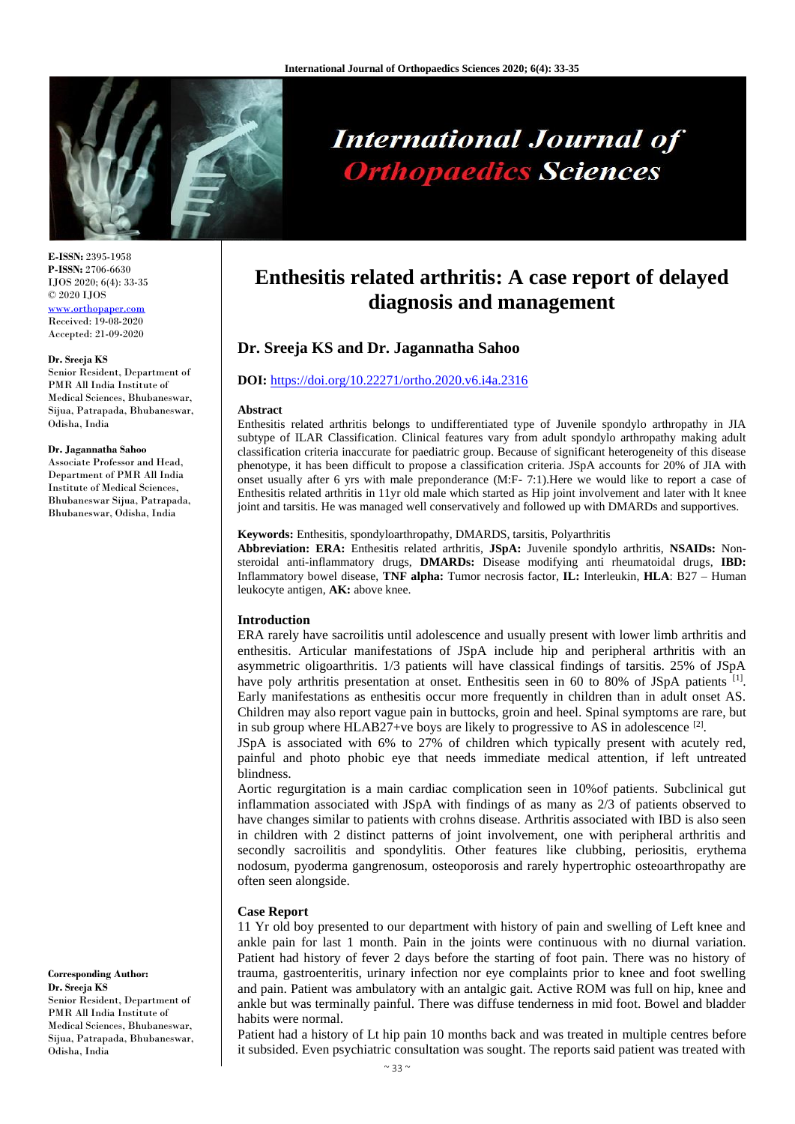

# **International Journal of Orthopaedics Sciences**

**E-ISSN:** 2395-1958 **P-ISSN:** 2706-6630 IJOS 2020; 6(4): 33-35 © 2020 IJOS [www.orthopaper.com](http://www.orthopaper.com/) Received: 19-08-2020 Accepted: 21-09-2020

#### **Dr. Sreeja KS**

Senior Resident, Department of PMR All India Institute of Medical Sciences, Bhubaneswar, Sijua, Patrapada, Bhubaneswar, Odisha, India

#### **Dr. Jagannatha Sahoo**

Associate Professor and Head, Department of PMR All India Institute of Medical Sciences, Bhubaneswar Sijua, Patrapada, Bhubaneswar, Odisha, India

**Corresponding Author: Dr. Sreeja KS** Senior Resident, Department of PMR All India Institute of Medical Sciences, Bhubaneswar, Sijua, Patrapada, Bhubaneswar, Odisha, India

# **Enthesitis related arthritis: A case report of delayed diagnosis and management**

# **Dr. Sreeja KS and Dr. Jagannatha Sahoo**

#### **DOI:** <https://doi.org/10.22271/ortho.2020.v6.i4a.2316>

#### **Abstract**

Enthesitis related arthritis belongs to undifferentiated type of Juvenile spondylo arthropathy in JIA subtype of ILAR Classification. Clinical features vary from adult spondylo arthropathy making adult classification criteria inaccurate for paediatric group. Because of significant heterogeneity of this disease phenotype, it has been difficult to propose a classification criteria. JSpA accounts for 20% of JIA with onset usually after 6 yrs with male preponderance (M:F- 7:1).Here we would like to report a case of Enthesitis related arthritis in 11yr old male which started as Hip joint involvement and later with lt knee joint and tarsitis. He was managed well conservatively and followed up with DMARDs and supportives.

#### **Keywords:** Enthesitis, spondyloarthropathy, DMARDS, tarsitis, Polyarthritis

**Abbreviation: ERA:** Enthesitis related arthritis, **JSpA:** Juvenile spondylo arthritis, **NSAIDs:** Nonsteroidal anti-inflammatory drugs, **DMARDs:** Disease modifying anti rheumatoidal drugs, **IBD:** Inflammatory bowel disease, **TNF alpha:** Tumor necrosis factor, **IL:** Interleukin, **HLA**: B27 – Human leukocyte antigen, **AK:** above knee.

#### **Introduction**

ERA rarely have sacroilitis until adolescence and usually present with lower limb arthritis and enthesitis. Articular manifestations of JSpA include hip and peripheral arthritis with an asymmetric oligoarthritis. 1/3 patients will have classical findings of tarsitis. 25% of JSpA have poly arthritis presentation at onset. Enthesitis seen in 60 to 80% of JSpA patients <sup>[1]</sup>. Early manifestations as enthesitis occur more frequently in children than in adult onset AS. Children may also report vague pain in buttocks, groin and heel. Spinal symptoms are rare, but in sub group where HLAB27+ve boys are likely to progressive to AS in adolescence  $^{[2]}$ .

JSpA is associated with 6% to 27% of children which typically present with acutely red, painful and photo phobic eye that needs immediate medical attention, if left untreated blindness.

Aortic regurgitation is a main cardiac complication seen in 10%of patients. Subclinical gut inflammation associated with JSpA with findings of as many as 2/3 of patients observed to have changes similar to patients with crohns disease. Arthritis associated with IBD is also seen in children with 2 distinct patterns of joint involvement, one with peripheral arthritis and secondly sacroilitis and spondylitis. Other features like clubbing, periositis, erythema nodosum, pyoderma gangrenosum, osteoporosis and rarely hypertrophic osteoarthropathy are often seen alongside.

### **Case Report**

11 Yr old boy presented to our department with history of pain and swelling of Left knee and ankle pain for last 1 month. Pain in the joints were continuous with no diurnal variation. Patient had history of fever 2 days before the starting of foot pain. There was no history of trauma, gastroenteritis, urinary infection nor eye complaints prior to knee and foot swelling and pain. Patient was ambulatory with an antalgic gait. Active ROM was full on hip, knee and ankle but was terminally painful. There was diffuse tenderness in mid foot. Bowel and bladder habits were normal.

Patient had a history of Lt hip pain 10 months back and was treated in multiple centres before it subsided. Even psychiatric consultation was sought. The reports said patient was treated with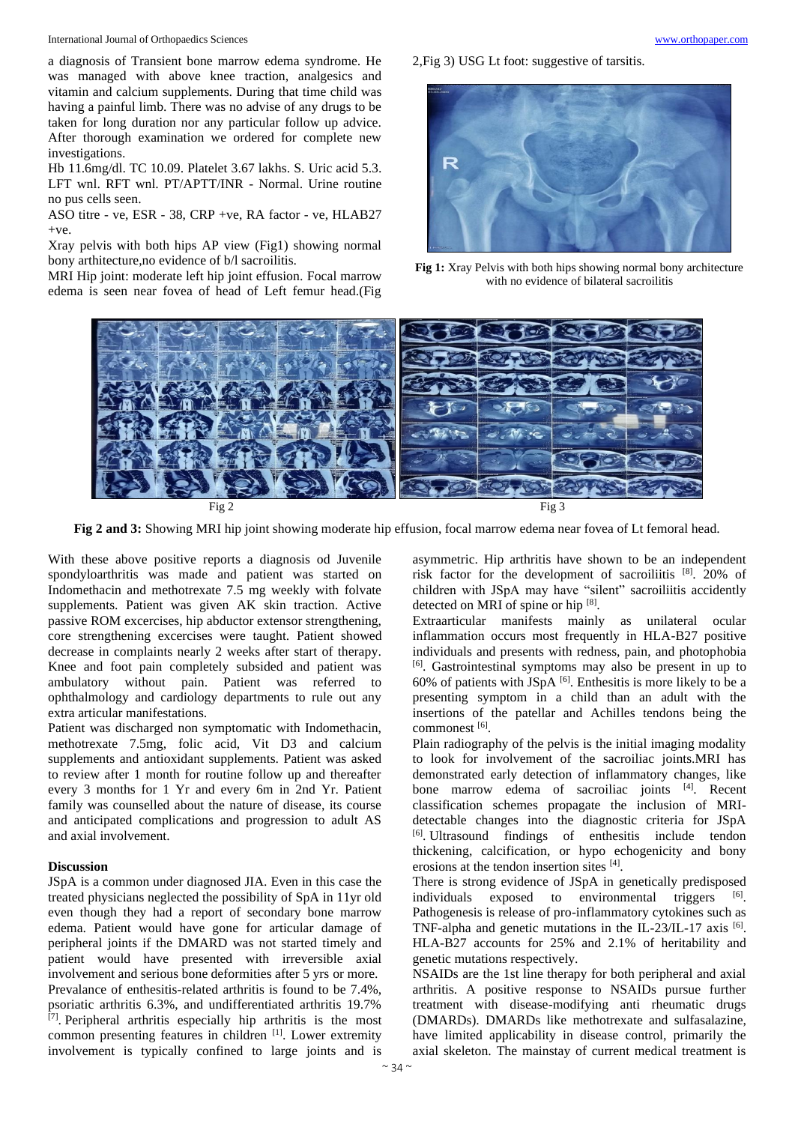International Journal of Orthopaedics Sciences [www.orthopaper.com](http://www.orthopaper.com/)

a diagnosis of Transient bone marrow edema syndrome. He was managed with above knee traction, analgesics and vitamin and calcium supplements. During that time child was having a painful limb. There was no advise of any drugs to be taken for long duration nor any particular follow up advice. After thorough examination we ordered for complete new investigations.

Hb 11.6mg/dl. TC 10.09. Platelet 3.67 lakhs. S. Uric acid 5.3. LFT wnl. RFT wnl. PT/APTT/INR - Normal. Urine routine no pus cells seen.

ASO titre - ve, ESR - 38, CRP +ve, RA factor - ve, HLAB27  $+ve.$ 

Xray pelvis with both hips AP view (Fig1) showing normal bony arthitecture,no evidence of b/l sacroilitis.

MRI Hip joint: moderate left hip joint effusion. Focal marrow edema is seen near fovea of head of Left femur head.(Fig



**Fig 1:** Xray Pelvis with both hips showing normal bony architecture with no evidence of bilateral sacroilitis



**Fig 2 and 3:** Showing MRI hip joint showing moderate hip effusion, focal marrow edema near fovea of Lt femoral head.

With these above positive reports a diagnosis od Juvenile spondyloarthritis was made and patient was started on Indomethacin and methotrexate 7.5 mg weekly with folvate supplements. Patient was given AK skin traction. Active passive ROM excercises, hip abductor extensor strengthening, core strengthening excercises were taught. Patient showed decrease in complaints nearly 2 weeks after start of therapy. Knee and foot pain completely subsided and patient was ambulatory without pain. Patient was referred to ophthalmology and cardiology departments to rule out any extra articular manifestations.

Patient was discharged non symptomatic with Indomethacin, methotrexate 7.5mg, folic acid, Vit D3 and calcium supplements and antioxidant supplements. Patient was asked to review after 1 month for routine follow up and thereafter every 3 months for 1 Yr and every 6m in 2nd Yr. Patient family was counselled about the nature of disease, its course and anticipated complications and progression to adult AS and axial involvement.

#### **Discussion**

JSpA is a common under diagnosed JIA. Even in this case the treated physicians neglected the possibility of SpA in 11yr old even though they had a report of secondary bone marrow edema. Patient would have gone for articular damage of peripheral joints if the DMARD was not started timely and patient would have presented with irreversible axial involvement and serious bone deformities after 5 yrs or more. Prevalance of enthesitis-related arthritis is found to be 7.4%, psoriatic arthritis 6.3%, and undifferentiated arthritis 19.7% [7]. Peripheral arthritis especially hip arthritis is the most common presenting features in children <sup>[1]</sup>. Lower extremity involvement is typically confined to large joints and is

asymmetric. Hip arthritis have shown to be an independent risk factor for the development of sacroiliitis [8]. 20% of children with JSpA may have "silent" sacroiliitis accidently detected on MRI of spine or hip [8].

Extraarticular manifests mainly as unilateral ocular inflammation occurs most frequently in HLA-B27 positive individuals and presents with redness, pain, and photophobia [6] . Gastrointestinal symptoms may also be present in up to  $60\%$  of patients with JSpA  $[6]$ . Enthesitis is more likely to be a presenting symptom in a child than an adult with the insertions of the patellar and Achilles tendons being the commonest [6].

Plain radiography of the pelvis is the initial imaging modality to look for involvement of the sacroiliac joints.MRI has demonstrated early detection of inflammatory changes, like bone marrow edema of sacroiliac joints <sup>[4]</sup>. Recent classification schemes propagate the inclusion of MRIdetectable changes into the diagnostic criteria for JSpA [6] . Ultrasound findings of enthesitis include tendon thickening, calcification, or hypo echogenicity and bony erosions at the tendon insertion sites [4].

There is strong evidence of JSpA in genetically predisposed individuals exposed to environmental triggers <sup>[6]</sup>. Pathogenesis is release of pro-inflammatory cytokines such as TNF-alpha and genetic mutations in the IL-23/IL-17 axis  $[6]$ . HLA-B27 accounts for 25% and 2.1% of heritability and genetic mutations respectively.

NSAIDs are the 1st line therapy for both peripheral and axial arthritis. A positive response to NSAIDs pursue further treatment with disease-modifying anti rheumatic drugs (DMARDs). DMARDs like methotrexate and sulfasalazine, have limited applicability in disease control, primarily the axial skeleton. The mainstay of current medical treatment is